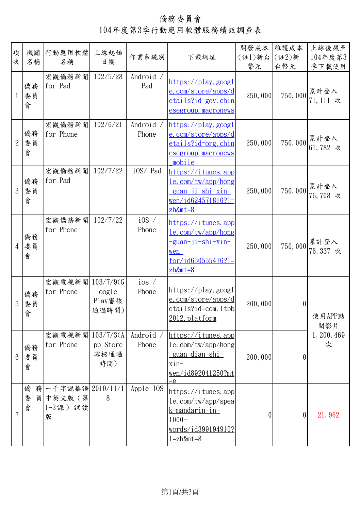僑務委員會 104年度第3季行動應用軟體服務績效調查表

| 項<br>次         | 機關<br>名稱          | 行動應用軟體<br>名稱                                      | 上線起始<br>日期               | 作業系統別                    | 下載網址                                                                                                                                     | 開發成本<br>(註1)新台<br>幣元 | 維護成本<br>(註2)新<br>台幣元 | 上線後截至<br>104年度第3<br>季下載使用 |
|----------------|-------------------|---------------------------------------------------|--------------------------|--------------------------|------------------------------------------------------------------------------------------------------------------------------------------|----------------------|----------------------|---------------------------|
| $\mathbf 1$    | 僑務<br>委員<br>會     | 宏觀僑務新聞<br>for Pad                                 | 102/5/28                 | Android /<br>Pad         | <u> https://play.googl</u><br>e.com/store/apps/d<br>etails?id=gov.chin<br>esegroup.macronews                                             | 250,000              | 750,000              | 累計登入<br>71,111 次          |
| $\overline{2}$ | 僑務<br>委員<br>會     | 宏觀僑務新聞<br>for Phone                               | 102/6/21                 | Android /<br>Phone       | https://play.googl<br>e.com/store/apps/d<br><u>etails?id=org.chin</u><br><u>esegroup.macronews</u><br>mobile                             | 250,000              |                      | 750,000 累計登入<br>61,782 次  |
| 3              | 僑務<br>委員<br>會     | 宏觀僑務新聞<br>for Pad                                 | 102/7/22                 | i0S/ Pad                 | https://itunes.app<br>le.com/tw/app/hong<br>-guan-ji-shi-xin-<br>$wen/id624571816?1=$<br>$zh\&m$ t=8                                     | 250,000              | 750,000              | 累計登入<br>76,708 次          |
| $\overline{4}$ | 僑務<br>委員<br>會     | 宏觀僑務新聞<br>for Phone                               | 102/7/22                 | $i$ 0S $\prime$<br>Phone | <u>https://itunes.app</u><br>le.com/tw/app/hong<br><u>-guan-ji-shi-xin-</u><br>$wen-$<br>$for /i d650555476?1=$<br>$zh\&m$ t=8           | 250,000              | 750,000              | 累計登入<br>76,337 次          |
| 5              | 僑務<br>委員<br>冒     | 宏觀電視新聞 103/7/9(G<br>for Phone                     | oogle<br>Play審核<br>通過時間) | ios /<br>Phone           | $\frac{\text{https://play.google}}{\text{https://play.google)}}$<br>e.com/store/apps/d<br>etails?id=com.ltbb<br>2012.platform            | 200,000              | $\theta$             | 使用APP點<br>閲影片             |
| 6              | 僑務<br>委員<br>會     | 宏觀電視新聞 103/7/3(A<br>for Phone                     | pp Store<br>審核通過<br>時間)  | Android /<br>Phone       | https://itunes.app<br>$le$ com/tw/app/hong<br><u>-guan-dian-shi-</u><br>$xin-$<br>wen/id892041250?mt<br>Q                                | 200,000              | 0                    | 1, 200, 469<br>次          |
| $\overline{7}$ | 僑務<br>員<br>委<br>會 | 一千字說華語 2010/11/1<br>中英文版 (第<br>$1-3 \,$ 課)試讀<br>版 | 8                        | Apple IOS                | https://itunes.app<br><u>le.com/tw/app/spea</u><br><u>k-mandarin-in-</u><br>$1000-$<br><u>words/id399194910?</u><br><u>1=zh&amp;mt=8</u> | 0                    | 0                    | 21,962                    |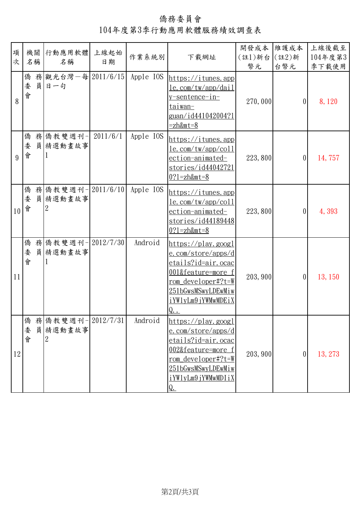僑務委員會 104年度第3季行動應用軟體服務績效調查表

| 項  |             |                                                |    |           |                                                                                                                                                                                                                                                               | 開發成本 維護成本    |                | 上線後截至   |
|----|-------------|------------------------------------------------|----|-----------|---------------------------------------------------------------------------------------------------------------------------------------------------------------------------------------------------------------------------------------------------------------|--------------|----------------|---------|
| 次  | 名稱          | 機關 行動應用軟體 上線起始<br>名稱                           | 日期 | 作業系統別     | 下載網址                                                                                                                                                                                                                                                          | (註1)新台 (註2)新 |                | 104年度第3 |
|    |             |                                                |    |           |                                                                                                                                                                                                                                                               | 幣元           | 台幣元            | 季下載使用   |
| 8  | 會           | 僑 務 觀光台灣-每 2011/6/15<br>委員日一句                  |    | Apple IOS | https://itunes.app<br><u>le.com/tw/app/dail</u><br><u>v-sentence-in-</u><br>taiwan-<br><u>guan/id441042004?1</u><br>$=zh\&m\,t=8$                                                                                                                             | 270,000      | 0              | 8,120   |
| 9  | 委<br>會      | 僑務 僑教雙週刊- 2011/6/1<br>員精選動畫故事                  |    | Apple IOS | https://itunes.app<br><u>le.com/tw/app/coll</u><br>ection-animated-<br>stories/id44042721<br>$0?1 = zh\&m\text{t} = 8$                                                                                                                                        | 223,800      | 0              | 14,757  |
| 10 | 會           | 僑務   僑教雙週刊-   2011/6/10  <br>委員 精選動畫故事<br>2    |    | Apple IOS | https://itunes. app<br><u>le.com/tw/app/coll</u><br>ection-animated-<br>stories/id44189448<br>$0?1 = zh&mt=8$                                                                                                                                                 | 223,800      | 0              | 4,393   |
| 11 | 僑<br>委<br>會 | 務 僑教雙週刊-2012/7/30<br>員精選動畫故事                   |    | Android   | $\frac{\text{https://play.google}}{\text{https://play.google)}}$<br><u>e.com/store/apps/d</u><br><u>etails?id=air.ocac</u><br><u>001&amp;feature=more f</u><br><u>rom</u> developer#?t=W<br>251bGwsMSwyLDEwMiw<br>iYWlyLm9jYWMwMDEiX<br>$Q_{\cdot\cdot\cdot}$ | 203, 900     | $\overline{0}$ | 13, 150 |
| 12 | 僑<br>委<br>會 | 務 僑教雙週刊-2012/7/31<br>員精選動畫故事<br>$\overline{2}$ |    | Android   | $\frac{\text{https://play.google}}{\text{https://play.google)}}$<br>e.com/store/apps/d<br>etails?id=air.ocac<br>002&feature=more f<br>rom developer#?t=W<br>251bGwsMSwyLDEwMiw<br>iYW1yLm9jYWMwMDIiX<br>Q.                                                    | 203, 900     | 0              | 13, 273 |